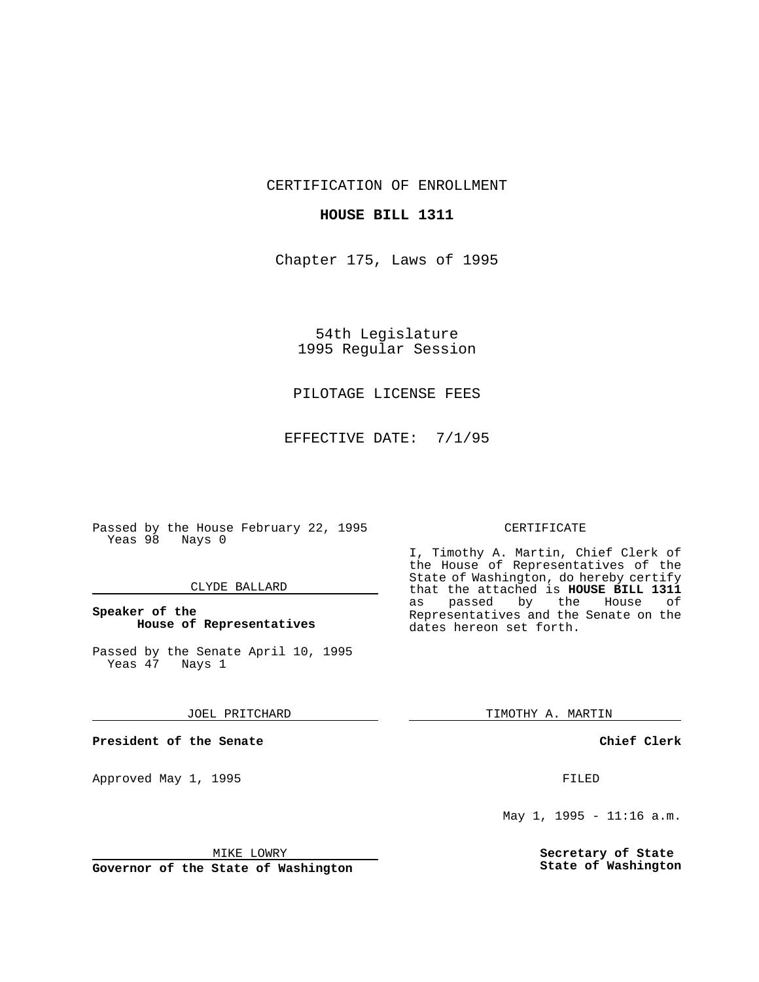CERTIFICATION OF ENROLLMENT

## **HOUSE BILL 1311**

Chapter 175, Laws of 1995

54th Legislature 1995 Regular Session

# PILOTAGE LICENSE FEES

EFFECTIVE DATE: 7/1/95

Passed by the House February 22, 1995 Yeas 98 Nays 0

## CLYDE BALLARD

# **Speaker of the House of Representatives**

Passed by the Senate April 10, 1995<br>Yeas 47 Nays 1 Yeas 47

#### JOEL PRITCHARD

**President of the Senate**

Approved May 1, 1995 **FILED** 

## MIKE LOWRY

**Governor of the State of Washington**

#### CERTIFICATE

I, Timothy A. Martin, Chief Clerk of the House of Representatives of the State of Washington, do hereby certify that the attached is **HOUSE BILL 1311** as passed by the Representatives and the Senate on the dates hereon set forth.

TIMOTHY A. MARTIN

## **Chief Clerk**

May 1, 1995 - 11:16 a.m.

**Secretary of State State of Washington**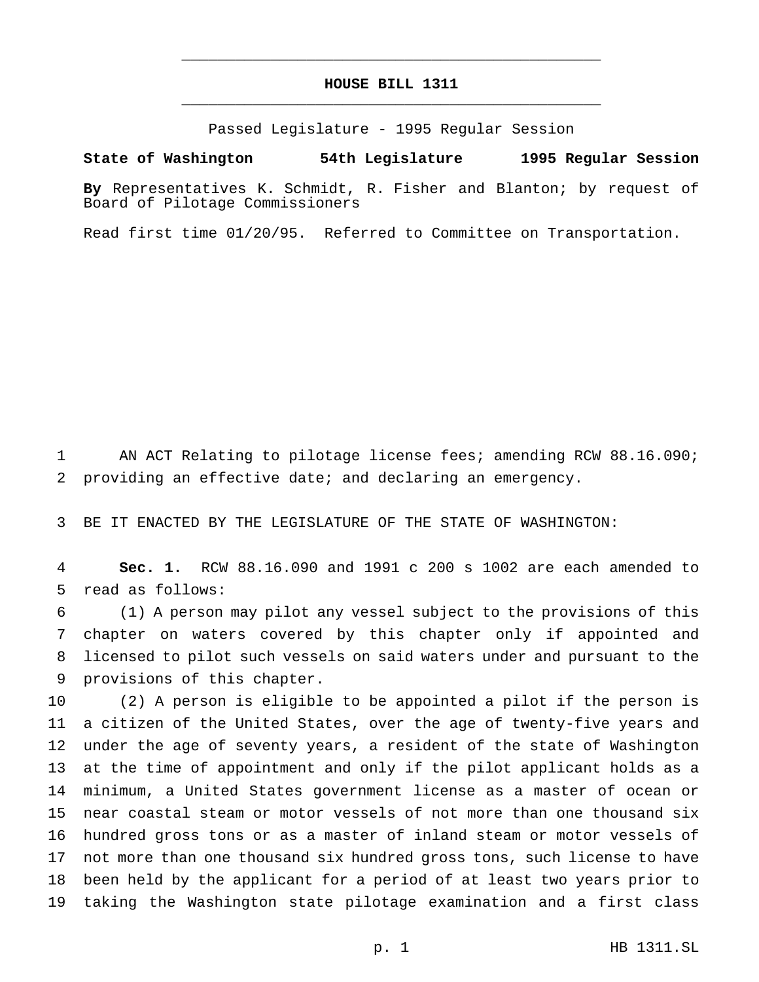# **HOUSE BILL 1311** \_\_\_\_\_\_\_\_\_\_\_\_\_\_\_\_\_\_\_\_\_\_\_\_\_\_\_\_\_\_\_\_\_\_\_\_\_\_\_\_\_\_\_\_\_\_\_

\_\_\_\_\_\_\_\_\_\_\_\_\_\_\_\_\_\_\_\_\_\_\_\_\_\_\_\_\_\_\_\_\_\_\_\_\_\_\_\_\_\_\_\_\_\_\_

Passed Legislature - 1995 Regular Session

#### **State of Washington 54th Legislature 1995 Regular Session**

**By** Representatives K. Schmidt, R. Fisher and Blanton; by request of Board of Pilotage Commissioners

Read first time 01/20/95. Referred to Committee on Transportation.

1 AN ACT Relating to pilotage license fees; amending RCW 88.16.090; providing an effective date; and declaring an emergency.

BE IT ENACTED BY THE LEGISLATURE OF THE STATE OF WASHINGTON:

 **Sec. 1.** RCW 88.16.090 and 1991 c 200 s 1002 are each amended to read as follows:

 (1) A person may pilot any vessel subject to the provisions of this chapter on waters covered by this chapter only if appointed and licensed to pilot such vessels on said waters under and pursuant to the provisions of this chapter.

 (2) A person is eligible to be appointed a pilot if the person is a citizen of the United States, over the age of twenty-five years and under the age of seventy years, a resident of the state of Washington at the time of appointment and only if the pilot applicant holds as a minimum, a United States government license as a master of ocean or near coastal steam or motor vessels of not more than one thousand six hundred gross tons or as a master of inland steam or motor vessels of not more than one thousand six hundred gross tons, such license to have been held by the applicant for a period of at least two years prior to taking the Washington state pilotage examination and a first class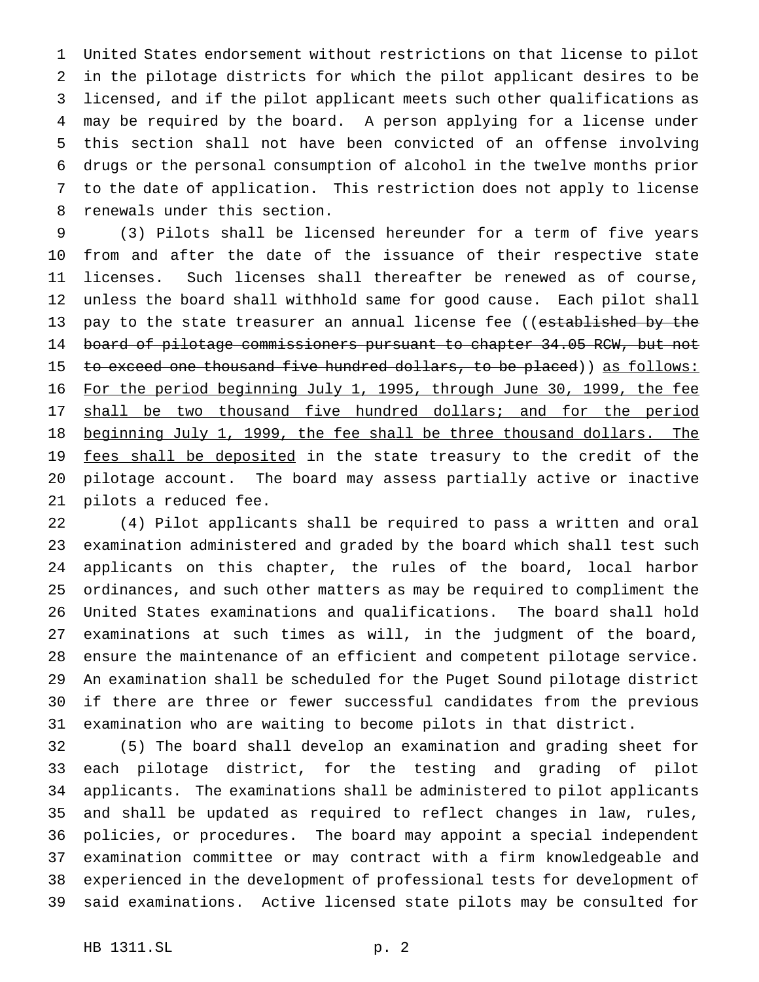United States endorsement without restrictions on that license to pilot in the pilotage districts for which the pilot applicant desires to be licensed, and if the pilot applicant meets such other qualifications as may be required by the board. A person applying for a license under this section shall not have been convicted of an offense involving drugs or the personal consumption of alcohol in the twelve months prior to the date of application. This restriction does not apply to license renewals under this section.

 (3) Pilots shall be licensed hereunder for a term of five years from and after the date of the issuance of their respective state licenses. Such licenses shall thereafter be renewed as of course, unless the board shall withhold same for good cause. Each pilot shall 13 pay to the state treasurer an annual license fee ((established by the 14 board of pilotage commissioners pursuant to chapter 34.05 RCW, but not 15 to exceed one thousand five hundred dollars, to be placed)) as follows: For the period beginning July 1, 1995, through June 30, 1999, the fee 17 shall be two thousand five hundred dollars; and for the period 18 beginning July 1, 1999, the fee shall be three thousand dollars. The 19 fees shall be deposited in the state treasury to the credit of the pilotage account. The board may assess partially active or inactive pilots a reduced fee.

 (4) Pilot applicants shall be required to pass a written and oral examination administered and graded by the board which shall test such applicants on this chapter, the rules of the board, local harbor ordinances, and such other matters as may be required to compliment the United States examinations and qualifications. The board shall hold examinations at such times as will, in the judgment of the board, ensure the maintenance of an efficient and competent pilotage service. An examination shall be scheduled for the Puget Sound pilotage district if there are three or fewer successful candidates from the previous examination who are waiting to become pilots in that district.

 (5) The board shall develop an examination and grading sheet for each pilotage district, for the testing and grading of pilot applicants. The examinations shall be administered to pilot applicants and shall be updated as required to reflect changes in law, rules, policies, or procedures. The board may appoint a special independent examination committee or may contract with a firm knowledgeable and experienced in the development of professional tests for development of said examinations. Active licensed state pilots may be consulted for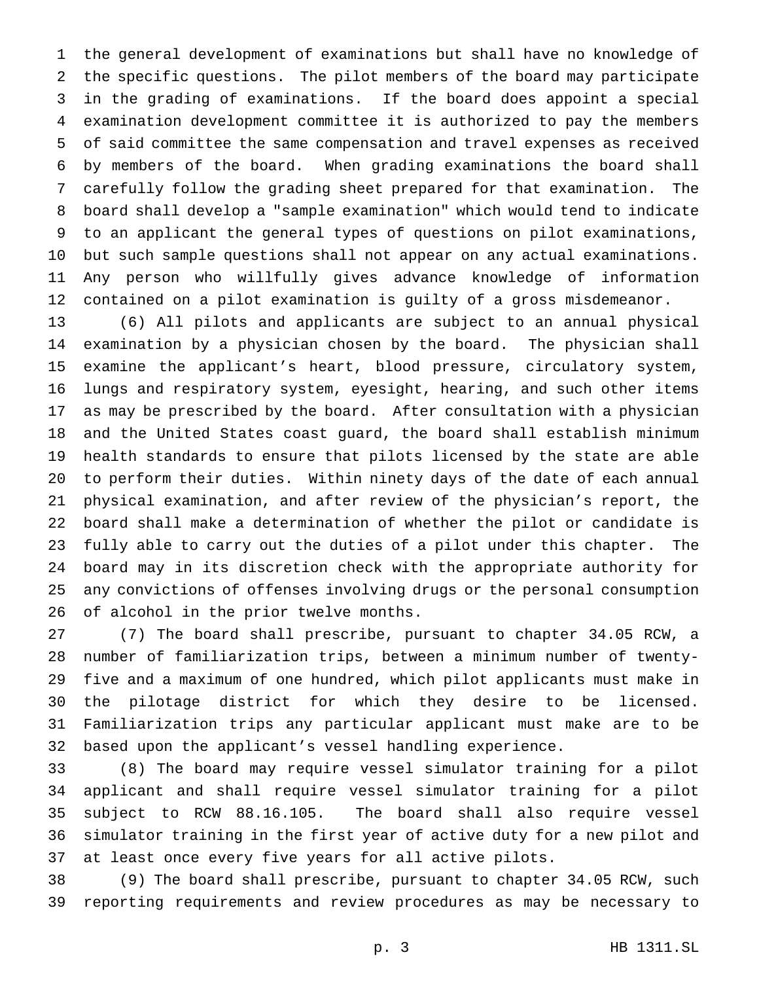the general development of examinations but shall have no knowledge of the specific questions. The pilot members of the board may participate in the grading of examinations. If the board does appoint a special examination development committee it is authorized to pay the members of said committee the same compensation and travel expenses as received by members of the board. When grading examinations the board shall carefully follow the grading sheet prepared for that examination. The board shall develop a "sample examination" which would tend to indicate to an applicant the general types of questions on pilot examinations, but such sample questions shall not appear on any actual examinations. Any person who willfully gives advance knowledge of information contained on a pilot examination is guilty of a gross misdemeanor.

 (6) All pilots and applicants are subject to an annual physical examination by a physician chosen by the board. The physician shall examine the applicant's heart, blood pressure, circulatory system, lungs and respiratory system, eyesight, hearing, and such other items as may be prescribed by the board. After consultation with a physician and the United States coast guard, the board shall establish minimum health standards to ensure that pilots licensed by the state are able to perform their duties. Within ninety days of the date of each annual physical examination, and after review of the physician's report, the board shall make a determination of whether the pilot or candidate is fully able to carry out the duties of a pilot under this chapter. The board may in its discretion check with the appropriate authority for any convictions of offenses involving drugs or the personal consumption of alcohol in the prior twelve months.

 (7) The board shall prescribe, pursuant to chapter 34.05 RCW, a number of familiarization trips, between a minimum number of twenty- five and a maximum of one hundred, which pilot applicants must make in the pilotage district for which they desire to be licensed. Familiarization trips any particular applicant must make are to be based upon the applicant's vessel handling experience.

 (8) The board may require vessel simulator training for a pilot applicant and shall require vessel simulator training for a pilot subject to RCW 88.16.105. The board shall also require vessel simulator training in the first year of active duty for a new pilot and at least once every five years for all active pilots.

 (9) The board shall prescribe, pursuant to chapter 34.05 RCW, such reporting requirements and review procedures as may be necessary to